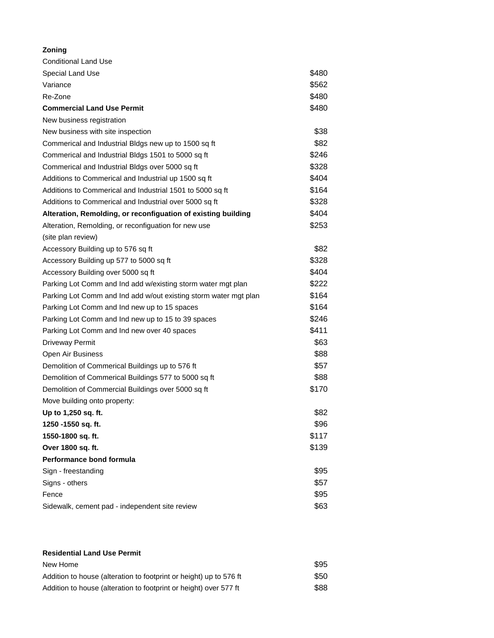## **Zoning**

| <b>Conditional Land Use</b>                                      |       |
|------------------------------------------------------------------|-------|
| Special Land Use                                                 | \$480 |
| Variance                                                         | \$562 |
| Re-Zone                                                          | \$480 |
| <b>Commercial Land Use Permit</b>                                | \$480 |
| New business registration                                        |       |
| New business with site inspection                                | \$38  |
| Commerical and Industrial Bldgs new up to 1500 sq ft             | \$82  |
| Commerical and Industrial Bldgs 1501 to 5000 sq ft               | \$246 |
| Commerical and Industrial Bldgs over 5000 sq ft                  | \$328 |
| Additions to Commerical and Industrial up 1500 sq ft             | \$404 |
| Additions to Commerical and Industrial 1501 to 5000 sq ft        | \$164 |
| Additions to Commerical and Industrial over 5000 sq ft           | \$328 |
| Alteration, Remolding, or reconfiguation of existing building    | \$404 |
| Alteration, Remolding, or reconfiguation for new use             | \$253 |
| (site plan review)                                               |       |
| Accessory Building up to 576 sq ft                               | \$82  |
| Accessory Building up 577 to 5000 sq ft                          | \$328 |
| Accessory Building over 5000 sq ft                               | \$404 |
| Parking Lot Comm and Ind add w/existing storm water mgt plan     | \$222 |
| Parking Lot Comm and Ind add w/out existing storm water mgt plan | \$164 |
| Parking Lot Comm and Ind new up to 15 spaces                     | \$164 |
| Parking Lot Comm and Ind new up to 15 to 39 spaces               | \$246 |
| Parking Lot Comm and Ind new over 40 spaces                      | \$411 |
| <b>Driveway Permit</b>                                           | \$63  |
| Open Air Business                                                | \$88  |
| Demolition of Commerical Buildings up to 576 ft                  | \$57  |
| Demolition of Commerical Buildings 577 to 5000 sq ft             | \$88  |
| Demolition of Commercial Buildings over 5000 sq ft               | \$170 |
| Move building onto property:                                     |       |
| Up to 1,250 sq. ft.                                              | \$82  |
| 1250 -1550 sq. ft.                                               | \$96  |
| 1550-1800 sq. ft.                                                | \$117 |
| Over 1800 sq. ft.                                                | \$139 |
| Performance bond formula                                         |       |
| Sign - freestanding                                              | \$95  |
| Signs - others                                                   | \$57  |
| Fence                                                            | \$95  |
| Sidewalk, cement pad - independent site review                   | \$63  |

## **Residential Land Use Permit**

| New Home                                                           | \$95 |
|--------------------------------------------------------------------|------|
| Addition to house (alteration to footprint or height) up to 576 ft | \$50 |
| Addition to house (alteration to footprint or height) over 577 ft  | \$88 |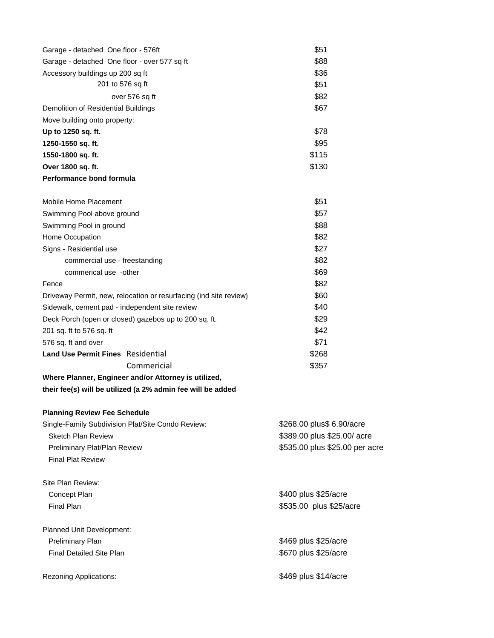| Garage - detached One floor - 576ft                               | \$51                           |  |
|-------------------------------------------------------------------|--------------------------------|--|
| Garage - detached One floor - over 577 sq ft                      | \$88                           |  |
| Accessory buildings up 200 sq ft                                  | \$36                           |  |
| 201 to 576 sq ft                                                  | \$51                           |  |
| over 576 sq ft                                                    | \$82                           |  |
| Demolition of Residential Buildings                               | \$67                           |  |
| Move building onto property:                                      |                                |  |
| Up to 1250 sq. ft.                                                | \$78                           |  |
| 1250-1550 sq. ft.                                                 | \$95                           |  |
| 1550-1800 sq. ft.                                                 | \$115                          |  |
| Over 1800 sq. ft.                                                 | \$130                          |  |
| Performance bond formula                                          |                                |  |
| Mobile Home Placement                                             | \$51                           |  |
| Swimming Pool above ground                                        | \$57                           |  |
| Swimming Pool in ground                                           | \$88                           |  |
| Home Occupation                                                   | \$82                           |  |
| Signs - Residential use                                           | \$27                           |  |
| commercial use - freestanding                                     | \$82                           |  |
| commerical use -other                                             | \$69                           |  |
| Fence                                                             | \$82                           |  |
| Driveway Permit, new, relocation or resurfacing (ind site review) | \$60                           |  |
| Sidewalk, cement pad - independent site review                    | \$40                           |  |
| Deck Porch (open or closed) gazebos up to 200 sq. ft.             | \$29                           |  |
| 201 sq. ft to 576 sq. ft                                          | \$42                           |  |
| 576 sq. ft and over                                               | \$71                           |  |
| <b>Land Use Permit Fines</b> Residential                          | \$268                          |  |
| Commericial                                                       | \$357                          |  |
| Where Planner, Engineer and/or Attorney is utilized,              |                                |  |
| their fee(s) will be utilized (a 2% admin fee will be added       |                                |  |
| <b>Planning Review Fee Schedule</b>                               |                                |  |
| Single-Family Subdivision Plat/Site Condo Review:                 | \$268.00 plus\$ 6.90/acre      |  |
| <b>Sketch Plan Review</b>                                         | \$389.00 plus \$25.00/ acre    |  |
| Preliminary Plat/Plan Review                                      | \$535.00 plus \$25.00 per acre |  |
| <b>Final Plat Review</b>                                          |                                |  |
| Site Plan Review:                                                 |                                |  |
| Concept Plan                                                      | \$400 plus \$25/acre           |  |
| Final Plan                                                        | \$535.00 plus \$25/acre        |  |

Planned Unit Development: Preliminary Plan **by Calcular Strategies and Strategies and Strategies Strategies Strategies Strategies Strategies Strategies Strategies Strategies Strategies Strategies Strategies Strategies Strategies Strategies Strategi** Final Detailed Site Plan **\$25/acre** \$670 plus \$25/acre

Rezoning Applications:  $$469$  plus \$14/acre